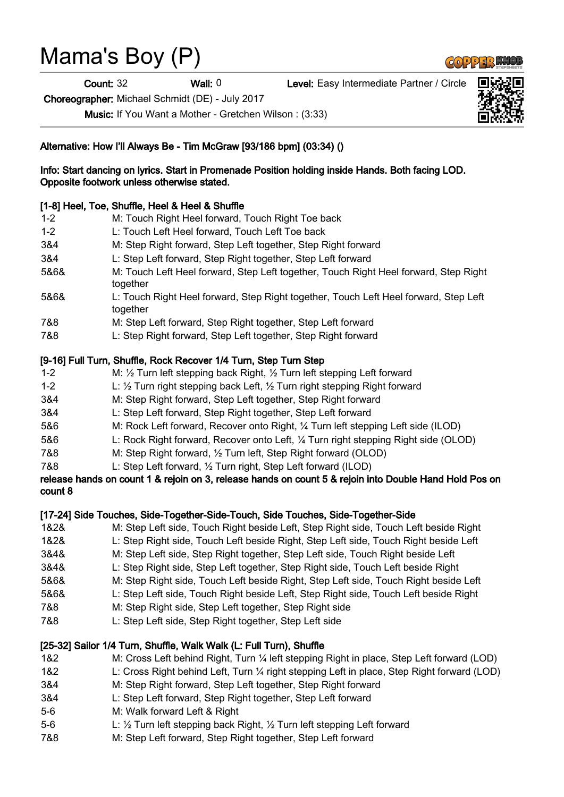# Mama's Boy (P)

Count: 32 Wall: 0 Level: Easy Intermediate Partner / Circle

Choreographer: Michael Schmidt (DE) - July 2017

Music: If You Want a Mother - Gretchen Wilson : (3:33)

## Alternative: How I'll Always Be - Tim McGraw [93/186 bpm] (03:34) ()

#### Info: Start dancing on lyrics. Start in Promenade Position holding inside Hands. Both facing LOD. Opposite footwork unless otherwise stated.

# [1-8] Heel, Toe, Shuffle, Heel & Heel & Shuffle

1-2 M: Touch Right Heel forward, Touch Right Toe back 1-2 L: Touch Left Heel forward, Touch Left Toe back 3&4 M: Step Right forward, Step Left together, Step Right forward 3&4 L: Step Left forward, Step Right together, Step Left forward 5&6& M: Touch Left Heel forward, Step Left together, Touch Right Heel forward, Step Right together 5&6& L: Touch Right Heel forward, Step Right together, Touch Left Heel forward, Step Left together 7&8 M: Step Left forward, Step Right together, Step Left forward 7&8 L: Step Right forward, Step Left together, Step Right forward

### [9-16] Full Turn, Shuffle, Rock Recover 1/4 Turn, Step Turn Step

- 1-2 M: ½ Turn left stepping back Right, ½ Turn left stepping Left forward
- 1-2 L: ½ Turn right stepping back Left, ½ Turn right stepping Right forward
- 3&4 M: Step Right forward, Step Left together, Step Right forward
- 3&4 L: Step Left forward, Step Right together, Step Left forward
- 5&6 M: Rock Left forward, Recover onto Right, ¼ Turn left stepping Left side (ILOD)
- 5&6 L: Rock Right forward, Recover onto Left, ¼ Turn right stepping Right side (OLOD)
- 7&8 M: Step Right forward, ½ Turn left, Step Right forward (OLOD)
- 7&8 L: Step Left forward, ½ Turn right, Step Left forward (ILOD)

#### release hands on count 1 & rejoin on 3, release hands on count 5 & rejoin into Double Hand Hold Pos on count 8

#### [17-24] Side Touches, Side-Together-Side-Touch, Side Touches, Side-Together-Side

- 1&2& M: Step Left side, Touch Right beside Left, Step Right side, Touch Left beside Right
- 1&2& L: Step Right side, Touch Left beside Right, Step Left side, Touch Right beside Left
- 3&4& M: Step Left side, Step Right together, Step Left side, Touch Right beside Left
- 3&4& L: Step Right side, Step Left together, Step Right side, Touch Left beside Right
- 5&6& M: Step Right side, Touch Left beside Right, Step Left side, Touch Right beside Left
- 5&6& L: Step Left side, Touch Right beside Left, Step Right side, Touch Left beside Right
- 7&8 M: Step Right side, Step Left together, Step Right side
- 7&8 L: Step Left side, Step Right together, Step Left side

# [25-32] Sailor 1/4 Turn, Shuffle, Walk Walk (L: Full Turn), Shuffle

- 1&2 M: Cross Left behind Right, Turn ¼ left stepping Right in place, Step Left forward (LOD)
- 1&2 L: Cross Right behind Left, Turn ¼ right stepping Left in place, Step Right forward (LOD)
- 3&4 M: Step Right forward, Step Left together, Step Right forward
- 3&4 L: Step Left forward, Step Right together, Step Left forward
- 5-6 M: Walk forward Left & Right
- 5-6 L: ½ Turn left stepping back Right, ½ Turn left stepping Left forward
- 7&8 M: Step Left forward, Step Right together, Step Left forward